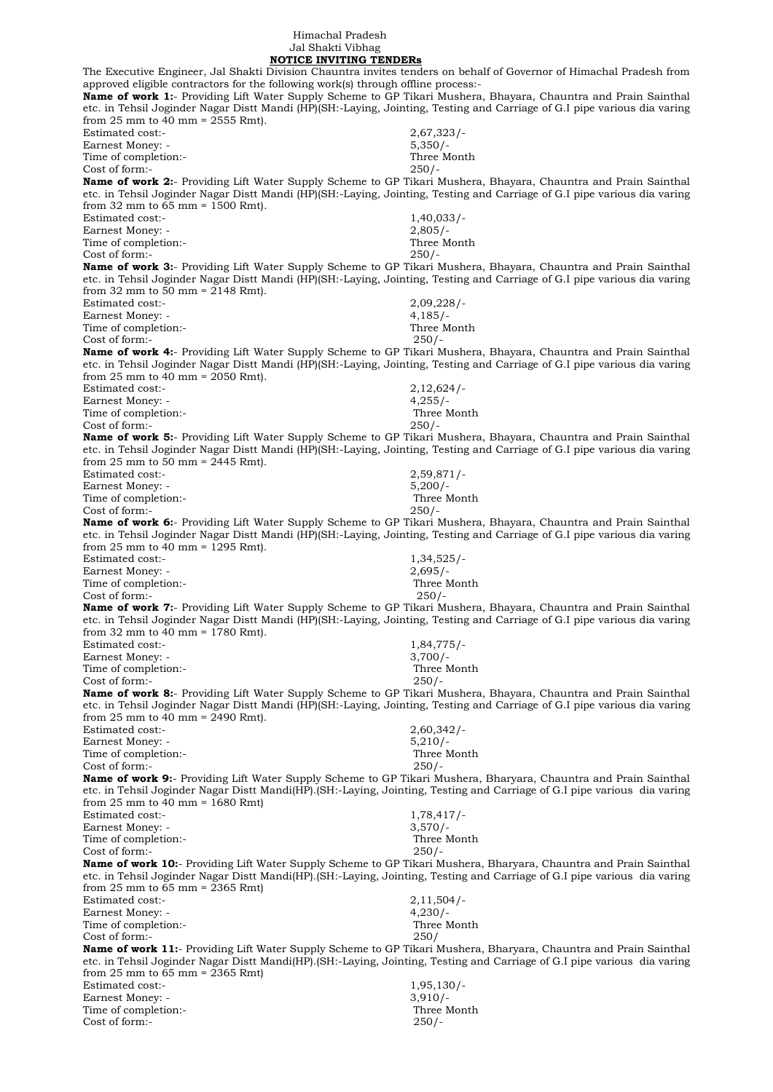Himachal Pradesh Jal Shakti Vibhag  **NOTICE INVITING TENDERs**

The Executive Engineer, Jal Shakti Division Chauntra invites tenders on behalf of Governor of Himachal Pradesh from approved eligible contractors for the following work(s) through offline process:- **Name of work 1:**- Providing Lift Water Supply Scheme to GP Tikari Mushera, Bhayara, Chauntra and Prain Sainthal etc. in Tehsil Joginder Nagar Distt Mandi (HP)(SH:-Laying, Jointing, Testing and Carriage of G.I pipe various dia varing from 25 mm to 40 mm =  $2555$  Rmt). Estimated cost:- 2,67,323/- Earnest Money: - 5,350/- Time of completion:-Cost of form:- 250/- **Name of work 2:**- Providing Lift Water Supply Scheme to GP Tikari Mushera, Bhayara, Chauntra and Prain Sainthal etc. in Tehsil Joginder Nagar Distt Mandi (HP)(SH:-Laying, Jointing, Testing and Carriage of G.I pipe various dia varing from 32 mm to 65 mm = 1500 Rmt). Estimated cost:- 1,40,033/-Earnest Money: - 2,805/- Time of completion:- Three Month Cost of form:- 250/- **Name of work 3:**- Providing Lift Water Supply Scheme to GP Tikari Mushera, Bhayara, Chauntra and Prain Sainthal etc. in Tehsil Joginder Nagar Distt Mandi (HP)(SH:-Laying, Jointing, Testing and Carriage of G.I pipe various dia varing from 32 mm to 50 mm =  $2148$  Rmt). Estimated cost:- 2,09,228/- Earnest Money: - 4,185/-Time of completion:- Three Month Cost of form:- 250/- **Name of work 4:**- Providing Lift Water Supply Scheme to GP Tikari Mushera, Bhayara, Chauntra and Prain Sainthal etc. in Tehsil Joginder Nagar Distt Mandi (HP)(SH:-Laying, Jointing, Testing and Carriage of G.I pipe various dia varing from 25 mm to  $40$  mm = 2050 Rmt). Estimated cost:- 2,12,624/- Earnest Money: - 4,255/-Time of completion:- Three Month Cost of form:- 250/- **Name of work 5:**- Providing Lift Water Supply Scheme to GP Tikari Mushera, Bhayara, Chauntra and Prain Sainthal etc. in Tehsil Joginder Nagar Distt Mandi (HP)(SH:-Laying, Jointing, Testing and Carriage of G.I pipe various dia varing from 25 mm to  $50$  mm = 2445 Rmt). Estimated cost:- 2,59,871/- Earnest Money: - 5,200/-Time of completion:-<br>
Cost of form:-<br>
250/-Cost of form:-**Name of work 6:**- Providing Lift Water Supply Scheme to GP Tikari Mushera, Bhayara, Chauntra and Prain Sainthal etc. in Tehsil Joginder Nagar Distt Mandi (HP)(SH:-Laying, Jointing, Testing and Carriage of G.I pipe various dia varing from 25 mm to 40 mm = 1295 Rmt). Estimated cost:-<br>
Earnest Money: -<br>
2,695/-<br>
2,695/-Earnest Money: -Time of completion:- Three Month Cost of form:- 250/- **Name of work 7:**- Providing Lift Water Supply Scheme to GP Tikari Mushera, Bhayara, Chauntra and Prain Sainthal etc. in Tehsil Joginder Nagar Distt Mandi (HP)(SH:-Laying, Jointing, Testing and Carriage of G.I pipe various dia varing from 32 mm to 40 mm = 1780 Rmt). Estimated cost:-<br>Earnest Money: -<br>3,700/-Earnest Money: - 3,700/-<br>Time of completion:- 3,700/-<br>Three Month Time of completion:-Cost of form:- 250/- **Name of work 8:**- Providing Lift Water Supply Scheme to GP Tikari Mushera, Bhayara, Chauntra and Prain Sainthal etc. in Tehsil Joginder Nagar Distt Mandi (HP)(SH:-Laying, Jointing, Testing and Carriage of G.I pipe various dia varing from 25 mm to 40 mm = 2490 Rmt). Estimated cost:- 2,60,342/- Earnest Money: - 5,210/-Time of completion:- Three Month Cost of form:- 250/- **Name of work 9:**- Providing Lift Water Supply Scheme to GP Tikari Mushera, Bharyara, Chauntra and Prain Sainthal etc. in Tehsil Joginder Nagar Distt Mandi(HP).(SH:-Laying, Jointing, Testing and Carriage of G.I pipe various dia varing from 25 mm to 40 mm = 1680 Rmt) Estimated cost:- 1,78,417/-Earnest Money: - 3,570/-Time of completion:- Three Month Cost of form:- 250/- **Name of work 10:**- Providing Lift Water Supply Scheme to GP Tikari Mushera, Bharyara, Chauntra and Prain Sainthal etc. in Tehsil Joginder Nagar Distt Mandi(HP).(SH:-Laying, Jointing, Testing and Carriage of G.I pipe various dia varing from 25 mm to  $65$  mm = 2365 Rmt) Estimated cost:- 2,11,504/- Earnest Money: - 4,230/-Time of completion:- The Month Three Month Three Month Three Month Three Month Three Month Three Month Three Month Three Month Three Month Three Month Three Month Three Month Three Month Three Month Three Month Three Month Cost of form:- 250/ **Name of work 11:**- Providing Lift Water Supply Scheme to GP Tikari Mushera, Bharyara, Chauntra and Prain Sainthal etc. in Tehsil Joginder Nagar Distt Mandi(HP).(SH:-Laying, Jointing, Testing and Carriage of G.I pipe various dia varing from 25 mm to 65 mm = 2365 Rmt) Estimated cost:-<br>Earnest Money: - 1,95,130/-<br>3,910/-Earnest Money: -Time of completion:- Three Month Cost of form:- 250/-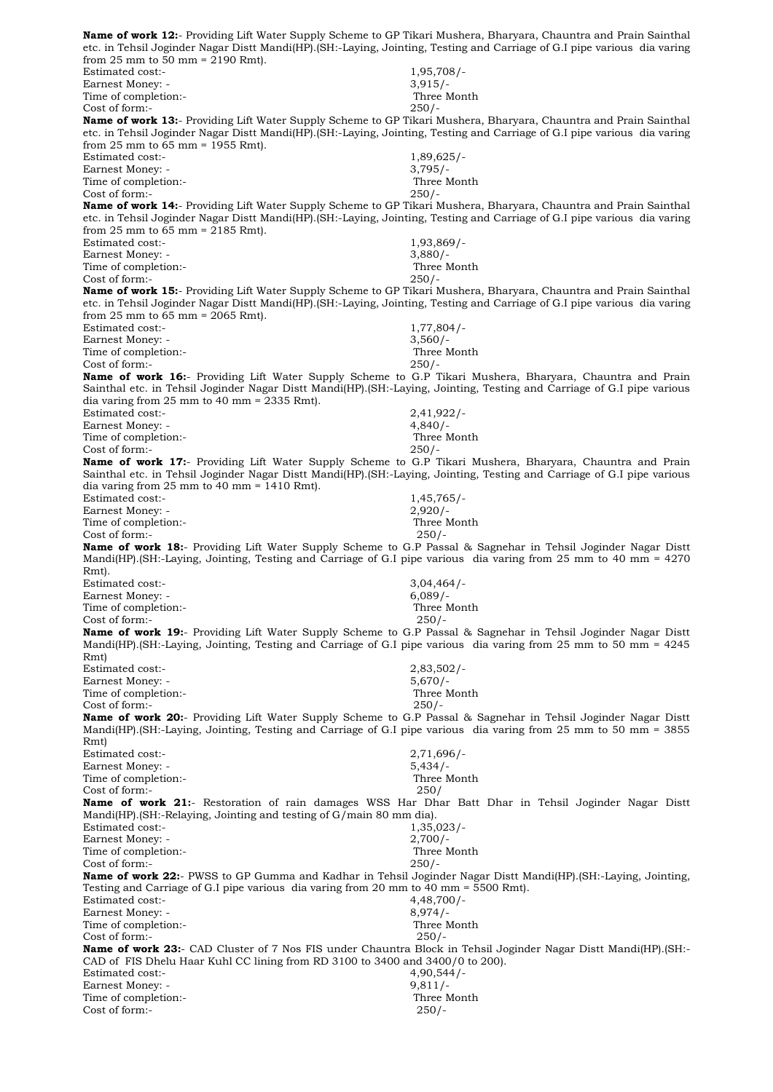**Name of work 12:**- Providing Lift Water Supply Scheme to GP Tikari Mushera, Bharyara, Chauntra and Prain Sainthal etc. in Tehsil Joginder Nagar Distt Mandi(HP).(SH:-Laying, Jointing, Testing and Carriage of G.I pipe various dia varing from 25 mm to 50 mm = 2190 Rmt). Estimated cost:- 1,95,708/- Earnest Money: - 3,915/-Time of completion:- Three Month Cost of form:- 250/- **Name of work 13:**- Providing Lift Water Supply Scheme to GP Tikari Mushera, Bharyara, Chauntra and Prain Sainthal etc. in Tehsil Joginder Nagar Distt Mandi(HP).(SH:-Laying, Jointing, Testing and Carriage of G.I pipe various dia varing from 25 mm to 65 mm = 1955 Rmt). Estimated cost:- 1,89,625/- Earnest Money: - 3,795/-Time of completion:- Three Month Cost of form:- 250/- **Name of work 14:**- Providing Lift Water Supply Scheme to GP Tikari Mushera, Bharyara, Chauntra and Prain Sainthal etc. in Tehsil Joginder Nagar Distt Mandi(HP).(SH:-Laying, Jointing, Testing and Carriage of G.I pipe various dia varing from 25 mm to 65 mm = 2185 Rmt). Estimated cost:- 1,93,869/- Earnest Money: - 3,880/-Time of completion:- Three Month Cost of form:- 250/- **Name of work 15:**- Providing Lift Water Supply Scheme to GP Tikari Mushera, Bharyara, Chauntra and Prain Sainthal etc. in Tehsil Joginder Nagar Distt Mandi(HP).(SH:-Laying, Jointing, Testing and Carriage of G.I pipe various dia varing from 25 mm to 65 mm = 2065 Rmt). Estimated cost:- 1,77,804/-Earnest Money: - 3,560/- Time of completion:-<br>
Cost of form:-<br>
250/-Cost of form:-**Name of work 16:**- Providing Lift Water Supply Scheme to G.P Tikari Mushera, Bharyara, Chauntra and Prain Sainthal etc. in Tehsil Joginder Nagar Distt Mandi(HP).(SH:-Laying, Jointing, Testing and Carriage of G.I pipe various dia varing from 25 mm to 40 mm = 2335 Rmt). Estimated cost:- 2,41,922/- Earnest Money: - 4,840/-Time of completion:- Three Month Cost of form:- 250/- **Name of work 17:**- Providing Lift Water Supply Scheme to G.P Tikari Mushera, Bharyara, Chauntra and Prain Sainthal etc. in Tehsil Joginder Nagar Distt Mandi(HP).(SH:-Laying, Jointing, Testing and Carriage of G.I pipe various dia varing from 25 mm to 40 mm = 1410 Rmt). Estimated cost:- 1,45,765/-Earnest Money: - 2,920/-Time of completion:- Three Month Cost of form:- 250/- **Name of work 18:**- Providing Lift Water Supply Scheme to G.P Passal & Sagnehar in Tehsil Joginder Nagar Distt Mandi(HP).(SH:-Laying, Jointing, Testing and Carriage of G.I pipe various dia varing from 25 mm to 40 mm = 4270 Rmt). Estimated cost:- 3,04,464/- Earnest Money: - 6,089/-Time of completion:- Three Month Cost of form:- 250/- **Name of work 19:**- Providing Lift Water Supply Scheme to G.P Passal & Sagnehar in Tehsil Joginder Nagar Distt Mandi(HP).(SH:-Laying, Jointing, Testing and Carriage of G.I pipe various dia varing from 25 mm to 50 mm = 4245 Rmt) Estimated cost:- 2,83,502/-Earnest Money: - 5,670/-Time of completion:- Three Month Cost of form:- 250/- **Name of work 20:**- Providing Lift Water Supply Scheme to G.P Passal & Sagnehar in Tehsil Joginder Nagar Distt Mandi(HP).(SH:-Laying, Jointing, Testing and Carriage of G.I pipe various dia varing from 25 mm to 50 mm = 3855 Rmt) Estimated cost:- 2,71,696/- Earnest Money: - 5,434/-Time of completion:- Three Month Cost of form:- 250/ **Name of work 21:**- Restoration of rain damages WSS Har Dhar Batt Dhar in Tehsil Joginder Nagar Distt Mandi(HP).(SH:-Relaying, Jointing and testing of G/main 80 mm dia). Estimated cost:- 1,35,023/-Earnest Money: - 2,700/-Time of completion:- The Month Three Month Three Month Three Month Three Month Three Month Three Month Three Month Three Month Three Month Three Month Three Month Three Month Three Month Three Month Three Month Three Month  $Cost of form:$  250/-**Name of work 22:**- PWSS to GP Gumma and Kadhar in Tehsil Joginder Nagar Distt Mandi(HP).(SH:-Laying, Jointing, Testing and Carriage of G.I pipe various dia varing from 20 mm to 40 mm = 5500 Rmt). Estimated cost:- 4,48,700/- Earnest Money: - 8,974/-Time of completion:-<br>
Cost of form:-<br>
250/-Cost of form:-**Name of work 23:**- CAD Cluster of 7 Nos FIS under Chauntra Block in Tehsil Joginder Nagar Distt Mandi(HP).(SH:- CAD of FIS Dhelu Haar Kuhl CC lining from RD 3100 to 3400 and 3400/0 to 200).<br>Estimated cost:-  $\rm 4,90,544/-$ Estimated cost:-Earnest Money: -<br>
Time of completion:-<br>
Three Month Time of completion:-Cost of form:- 250/-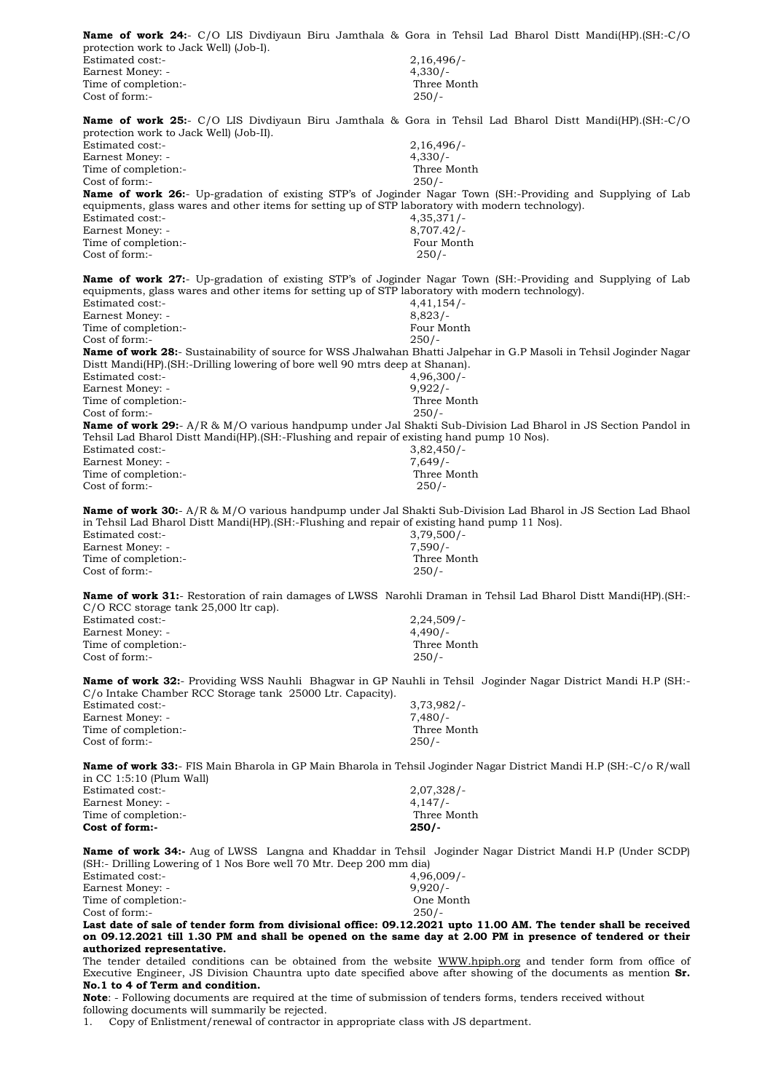**Name of work 24:**- C/O LIS Divdiyaun Biru Jamthala & Gora in Tehsil Lad Bharol Distt Mandi(HP).(SH:-C/O protection work to Jack Well) (Job-I). Estimated cost:- 2,16,496/- Earnest Money: - 4,330/-Time of completion:-<br>
Cost of form:-<br>
250/-Cost of form:-**Name of work 25:**- C/O LIS Divdiyaun Biru Jamthala & Gora in Tehsil Lad Bharol Distt Mandi(HP).(SH:-C/O protection work to Jack Well) (Job-II). Estimated cost:- 2,16,496/-<br>Earnest Money: - 2,16,496/-<br>4.330/-Earnest Money: -Time of completion:- Three Month Cost of form:- 250/- **Name of work 26:**- Up-gradation of existing STP's of Joginder Nagar Town (SH:-Providing and Supplying of Lab equipments, glass wares and other items for setting up of STP laboratory with modern technology). Estimated cost:- 4,35,371/- Earnest Money: - 8,707.42/- Time of completion:- Time of completion:-Cost of form:- 250/- **Name of work 27:**- Up-gradation of existing STP's of Joginder Nagar Town (SH:-Providing and Supplying of Lab equipments, glass wares and other items for setting up of STP laboratory with modern technology). Estimated cost:- 4,41,154/- Earnest Money: - 8,823/-Time of completion:- Four Month Cost of form:- 250/- **Name of work 28:**- Sustainability of source for WSS Jhalwahan Bhatti Jalpehar in G.P Masoli in Tehsil Joginder Nagar Distt Mandi(HP).(SH:-Drilling lowering of bore well 90 mtrs deep at Shanan). Estimated cost:- 4,96,300/-<br>Earnest Money: - 4,96,300/-<br>9,922/-Earnest Money: -Time of completion:- Three Month Cost of form:- 250/- **Name of work 29:**- A/R & M/O various handpump under Jal Shakti Sub-Division Lad Bharol in JS Section Pandol in Tehsil Lad Bharol Distt Mandi(HP).(SH:-Flushing and repair of existing hand pump 10 Nos). Estimated cost:-<br>Earnest Money: - 3,82,450/-<br>7,649/-Earnest Money: -<br>
Time of completion:-<br>
Three Month Time of completion:-Cost of form:- 250/- **Name of work 30:**- A/R & M/O various handpump under Jal Shakti Sub-Division Lad Bharol in JS Section Lad Bhaol in Tehsil Lad Bharol Distt Mandi(HP).(SH:-Flushing and repair of existing hand pump 11 Nos). Estimated cost:- 3,79,500/- Earnest Money: - 7,590/- Time of completion:- Three Month Cost of form:- 250/- **Name of work 31:**- Restoration of rain damages of LWSS Narohli Draman in Tehsil Lad Bharol Distt Mandi(HP).(SH:- C/O RCC storage tank 25,000 ltr cap). Estimated cost:- 2,24,509/- Earnest Money: -<br>
Time of completion:-<br>
Three Month Time of completion:-Cost of form:- 250/- **Name of work 32:**- Providing WSS Nauhli Bhagwar in GP Nauhli in Tehsil Joginder Nagar District Mandi H.P (SH:- C/o Intake Chamber RCC Storage tank 25000 Ltr. Capacity). Estimated cost:-<br>Earnest Money: - 3,73,982/-<br>7,480/-Earnest Money: -Time of completion:- Three Month Cost of form:- 250/- **Name of work 33:**- FIS Main Bharola in GP Main Bharola in Tehsil Joginder Nagar District Mandi H.P (SH:-C/o R/wall in CC 1:5:10 (Plum Wall) Estimated cost:- 2,07,328/- Earnest Money: - 4,147/-Time of completion:- Three Month **Cost of form:- 250/- Name of work 34:-** Aug of LWSS Langna and Khaddar in Tehsil Joginder Nagar District Mandi H.P (Under SCDP) (SH:- Drilling Lowering of 1 Nos Bore well 70 Mtr. Deep 200 mm dia) Estimated cost:-<br>
Earnest Money: -<br>
9.920/-Earnest Money: -Time of completion:- One Month Cost of form:- 250/- **Last date of sale of tender form from divisional office: 09.12.2021 upto 11.00 AM. The tender shall be received on 09.12.2021 till 1.30 PM and shall be opened on the same day at 2.00 PM in presence of tendered or their authorized representative.** The tender detailed conditions can be obtained from the website [WWW.hpiph.org](http://www.hpiph.org/) and tender form from office of Executive Engineer, JS Division Chauntra upto date specified above after showing of the documents as mention **Sr. No.1 to 4 of Term and condition.** 

**Note**: - Following documents are required at the time of submission of tenders forms, tenders received without following documents will summarily be rejected.

1. Copy of Enlistment/renewal of contractor in appropriate class with JS department.